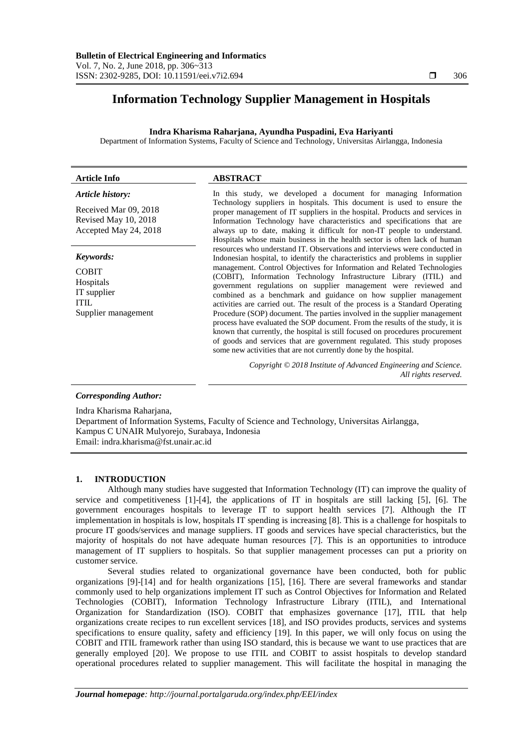# **Information Technology Supplier Management in Hospitals**

# **Indra Kharisma Raharjana, Ayundha Puspadini, Eva Hariyanti**

Department of Information Systems, Faculty of Science and Technology, Universitas Airlangga, Indonesia

| <b>Article Info</b>                                                            | <b>ABSTRACT</b>                                                                                                                                                                                                                                                                                                                                                                                                                                                                                                                                                                                                                                                                                                                                                    |  |
|--------------------------------------------------------------------------------|--------------------------------------------------------------------------------------------------------------------------------------------------------------------------------------------------------------------------------------------------------------------------------------------------------------------------------------------------------------------------------------------------------------------------------------------------------------------------------------------------------------------------------------------------------------------------------------------------------------------------------------------------------------------------------------------------------------------------------------------------------------------|--|
| Article history:                                                               | In this study, we developed a document for managing Information                                                                                                                                                                                                                                                                                                                                                                                                                                                                                                                                                                                                                                                                                                    |  |
| Received Mar 09, 2018<br>Revised May 10, 2018<br>Accepted May 24, 2018         | Technology suppliers in hospitals. This document is used to ensure the<br>proper management of IT suppliers in the hospital. Products and services in<br>Information Technology have characteristics and specifications that are<br>always up to date, making it difficult for non-IT people to understand.<br>Hospitals whose main business in the health sector is often lack of human                                                                                                                                                                                                                                                                                                                                                                           |  |
| Keywords:                                                                      | resources who understand IT. Observations and interviews were conducted in<br>Indonesian hospital, to identify the characteristics and problems in supplier                                                                                                                                                                                                                                                                                                                                                                                                                                                                                                                                                                                                        |  |
| <b>COBIT</b><br>Hospitals<br>IT supplier<br><b>ITIL</b><br>Supplier management | management. Control Objectives for Information and Related Technologies<br>(COBIT), Information Technology Infrastructure Library (ITIL) and<br>government regulations on supplier management were reviewed and<br>combined as a benchmark and guidance on how supplier management<br>activities are carried out. The result of the process is a Standard Operating<br>Procedure (SOP) document. The parties involved in the supplier management<br>process have evaluated the SOP document. From the results of the study, it is<br>known that currently, the hospital is still focused on procedures procurement<br>of goods and services that are government regulated. This study proposes<br>some new activities that are not currently done by the hospital. |  |
|                                                                                | Copyright © 2018 Institute of Advanced Engineering and Science.<br>All rights reserved.                                                                                                                                                                                                                                                                                                                                                                                                                                                                                                                                                                                                                                                                            |  |
| <b>Corresponding Author:</b>                                                   |                                                                                                                                                                                                                                                                                                                                                                                                                                                                                                                                                                                                                                                                                                                                                                    |  |

Indra Kharisma Raharjana,

Department of Information Systems, Faculty of Science and Technology, Universitas Airlangga, Kampus C UNAIR Mulyorejo, Surabaya, Indonesia Email: indra.kharisma@fst.unair.ac.id

## **1. INTRODUCTION**

Although many studies have suggested that Information Technology (IT) can improve the quality of service and competitiveness [1]-[4], the applications of IT in hospitals are still lacking [5], [6]. The government encourages hospitals to leverage IT to support health services [7]. Although the IT implementation in hospitals is low, hospitals IT spending is increasing [8]. This is a challenge for hospitals to procure IT goods/services and manage suppliers. IT goods and services have special characteristics, but the majority of hospitals do not have adequate human resources [7]. This is an opportunities to introduce management of IT suppliers to hospitals. So that supplier management processes can put a priority on customer service.

Several studies related to organizational governance have been conducted, both for public organizations [9]-[14] and for health organizations [15], [16]. There are several frameworks and standar commonly used to help organizations implement IT such as Control Objectives for Information and Related Technologies (COBIT), Information Technology Infrastructure Library (ITIL), and International Organization for Standardization (ISO). COBIT that emphasizes governance [17], ITIL that help organizations create recipes to run excellent services [18], and ISO provides products, services and systems specifications to ensure quality, safety and efficiency [19]. In this paper, we will only focus on using the COBIT and ITIL framework rather than using ISO standard, this is because we want to use practices that are generally employed [20]. We propose to use ITIL and COBIT to assist hospitals to develop standard operational procedures related to supplier management. This will facilitate the hospital in managing the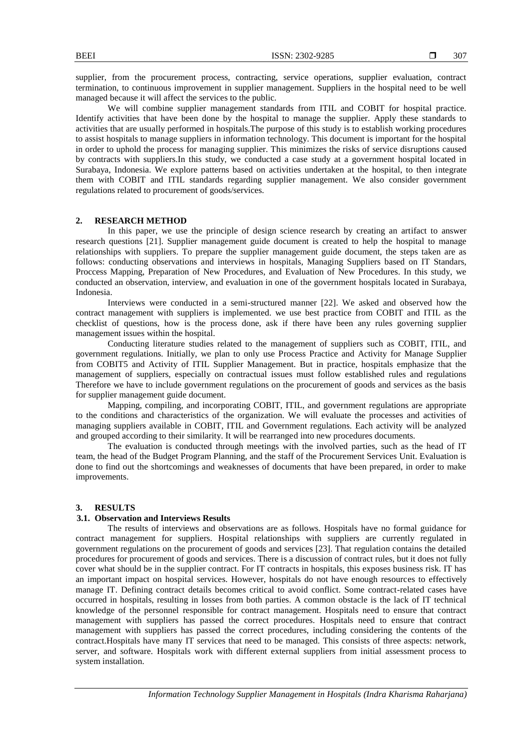supplier, from the procurement process, contracting, service operations, supplier evaluation, contract termination, to continuous improvement in supplier management. Suppliers in the hospital need to be well managed because it will affect the services to the public.

We will combine supplier management standards from ITIL and COBIT for hospital practice. Identify activities that have been done by the hospital to manage the supplier. Apply these standards to activities that are usually performed in hospitals.The purpose of this study is to establish working procedures to assist hospitals to manage suppliers in information technology. This document is important for the hospital in order to uphold the process for managing supplier. This minimizes the risks of service disruptions caused by contracts with suppliers.In this study, we conducted a case study at a government hospital located in Surabaya, Indonesia. We explore patterns based on activities undertaken at the hospital, to then integrate them with COBIT and ITIL standards regarding supplier management. We also consider government regulations related to procurement of goods/services.

## **2. RESEARCH METHOD**

In this paper, we use the principle of design science research by creating an artifact to answer research questions [21]. Supplier management guide document is created to help the hospital to manage relationships with suppliers. To prepare the supplier management guide document, the steps taken are as follows: conducting observations and interviews in hospitals, Managing Suppliers based on IT Standars, Proccess Mapping, Preparation of New Procedures, and Evaluation of New Procedures. In this study, we conducted an observation, interview, and evaluation in one of the government hospitals located in Surabaya, Indonesia.

Interviews were conducted in a semi-structured manner [22]. We asked and observed how the contract management with suppliers is implemented. we use best practice from COBIT and ITIL as the checklist of questions, how is the process done, ask if there have been any rules governing supplier management issues within the hospital.

Conducting literature studies related to the management of suppliers such as COBIT, ITIL, and government regulations. Initially, we plan to only use Process Practice and Activity for Manage Supplier from COBIT5 and Activity of ITIL Supplier Management. But in practice, hospitals emphasize that the management of suppliers, especially on contractual issues must follow established rules and regulations Therefore we have to include government regulations on the procurement of goods and services as the basis for supplier management guide document.

Mapping, compiling, and incorporating COBIT, ITIL, and government regulations are appropriate to the conditions and characteristics of the organization. We will evaluate the processes and activities of managing suppliers available in COBIT, ITIL and Government regulations. Each activity will be analyzed and grouped according to their similarity. It will be rearranged into new procedures documents.

The evaluation is conducted through meetings with the involved parties, such as the head of IT team, the head of the Budget Program Planning, and the staff of the Procurement Services Unit. Evaluation is done to find out the shortcomings and weaknesses of documents that have been prepared, in order to make improvements.

#### **3. RESULTS**

#### **3.1. Observation and Interviews Results**

The results of interviews and observations are as follows. Hospitals have no formal guidance for contract management for suppliers. Hospital relationships with suppliers are currently regulated in government regulations on the procurement of goods and services [23]. That regulation contains the detailed procedures for procurement of goods and services. There is a discussion of contract rules, but it does not fully cover what should be in the supplier contract. For IT contracts in hospitals, this exposes business risk. IT has an important impact on hospital services. However, hospitals do not have enough resources to effectively manage IT. Defining contract details becomes critical to avoid conflict. Some contract-related cases have occurred in hospitals, resulting in losses from both parties. A common obstacle is the lack of IT technical knowledge of the personnel responsible for contract management. Hospitals need to ensure that contract management with suppliers has passed the correct procedures. Hospitals need to ensure that contract management with suppliers has passed the correct procedures, including considering the contents of the contract.Hospitals have many IT services that need to be managed. This consists of three aspects: network, server, and software. Hospitals work with different external suppliers from initial assessment process to system installation.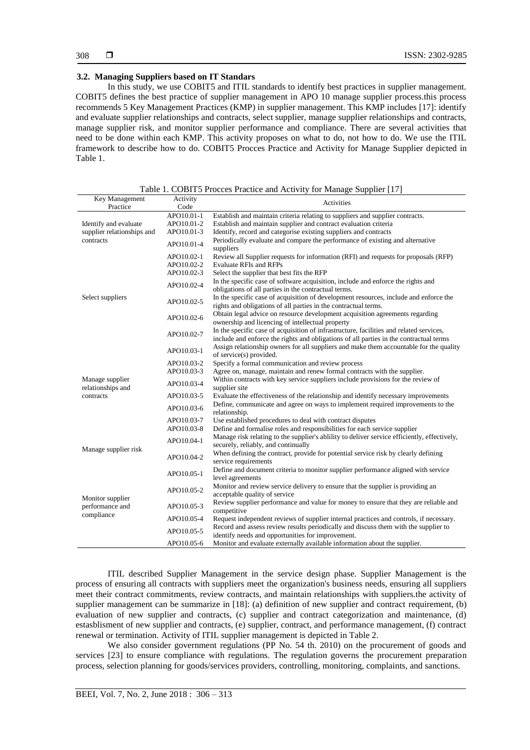## **3.2. Managing Suppliers based on IT Standars**

In this study, we use COBIT5 and ITIL standards to identify best practices in supplier management. COBIT5 defines the best practice of supplier management in APO 10 manage supplier process.this process recommends 5 Key Management Practices (KMP) in supplier management. This KMP includes [17]: identify and evaluate supplier relationships and contracts, select supplier, manage supplier relationships and contracts, manage supplier risk, and monitor supplier performance and compliance. There are several activities that need to be done within each KMP. This activity proposes on what to do, not how to do. We use the ITIL framework to describe how to do. COBIT5 Procces Practice and Activity for Manage Supplier depicted in Table 1.

| Key Management                 | Activity                 |                                                                                             |  |  |  |  |
|--------------------------------|--------------------------|---------------------------------------------------------------------------------------------|--|--|--|--|
| Practice                       | Activities<br>Code       |                                                                                             |  |  |  |  |
|                                | APO10.01-1               |                                                                                             |  |  |  |  |
|                                |                          | Establish and maintain criteria relating to suppliers and supplier contracts.               |  |  |  |  |
| Identify and evaluate          | APO10.01-2               | Establish and maintain supplier and contract evaluation criteria                            |  |  |  |  |
| supplier relationships and     | APO10.01-3               | Identify, record and categorise existing suppliers and contracts                            |  |  |  |  |
| contracts                      | APO10.01-4               | Periodically evaluate and compare the performance of existing and alternative<br>suppliers  |  |  |  |  |
|                                | APO10.02-1               | Review all Supplier requests for information (RFI) and requests for proposals (RFP)         |  |  |  |  |
|                                | APO10.02-2               | <b>Evaluate RFIs and RFPs</b>                                                               |  |  |  |  |
|                                | APO10.02-3               | Select the supplier that best fits the RFP                                                  |  |  |  |  |
|                                |                          | In the specific case of software acquisition, include and enforce the rights and            |  |  |  |  |
|                                | APO10.02-4               | obligations of all parties in the contractual terms.                                        |  |  |  |  |
| Select suppliers               |                          | In the specific case of acquisition of development resources, include and enforce the       |  |  |  |  |
|                                | APO10.02-5<br>APO10.02-6 |                                                                                             |  |  |  |  |
|                                |                          | rights and obligations of all parties in the contractual terms.                             |  |  |  |  |
|                                |                          | Obtain legal advice on resource development acquisition agreements regarding                |  |  |  |  |
|                                |                          | ownership and licencing of intellectual property                                            |  |  |  |  |
|                                | APO10.02-7               | In the specific case of acquisition of infrastructure, facilities and related services,     |  |  |  |  |
|                                |                          | include and enforce the rights and obligations of all parties in the contractual terms      |  |  |  |  |
|                                | APO10.03-1               | Assign relationship owners for all suppliers and make them accountable for the quality      |  |  |  |  |
|                                |                          | of service(s) provided.                                                                     |  |  |  |  |
|                                | APO10.03-2               | Specify a formal communication and review process                                           |  |  |  |  |
|                                | APO10.03-3               | Agree on, manage, maintain and renew formal contracts with the supplier.                    |  |  |  |  |
| Manage supplier                |                          | Within contracts with key service suppliers include provisions for the review of            |  |  |  |  |
| relationships and<br>contracts | APO10.03-4               | supplier site                                                                               |  |  |  |  |
|                                | APO10.03-5               | Evaluate the effectiveness of the relationship and identify necessary improvements          |  |  |  |  |
|                                |                          | Define, communicate and agree on ways to implement required improvements to the             |  |  |  |  |
|                                | APO10.03-6               | relationship.                                                                               |  |  |  |  |
|                                | APO10.03-7               | Use established procedures to deal with contract disputes                                   |  |  |  |  |
|                                | APO10.03-8               | Define and formalise roles and responsibilities for each service supplier                   |  |  |  |  |
|                                |                          | Manage risk relating to the supplier's ability to deliver service efficiently, effectively, |  |  |  |  |
| Manage supplier risk           | APO10.04-1               | securely, reliably, and continually                                                         |  |  |  |  |
|                                | APO10.04-2               | When defining the contract, provide for potential service risk by clearly defining          |  |  |  |  |
|                                |                          | service requirements                                                                        |  |  |  |  |
|                                |                          |                                                                                             |  |  |  |  |
|                                | APO10.05-1               | Define and document criteria to monitor supplier performance aligned with service           |  |  |  |  |
|                                |                          | level agreements                                                                            |  |  |  |  |
|                                | APO10.05-2               | Monitor and review service delivery to ensure that the supplier is providing an             |  |  |  |  |
| Monitor supplier               |                          | acceptable quality of service                                                               |  |  |  |  |
| performance and                | APO10.05-3               | Review supplier performance and value for money to ensure that they are reliable and        |  |  |  |  |
| compliance                     |                          | competitive                                                                                 |  |  |  |  |
|                                | APO10.05-4               | Request independent reviews of supplier internal practices and controls, if necessary.      |  |  |  |  |
|                                | APO10.05-5               | Record and assess review results periodically and discuss them with the supplier to         |  |  |  |  |
|                                |                          | identify needs and opportunities for improvement.                                           |  |  |  |  |
|                                | APO10.05-6               | Monitor and evaluate externally available information about the supplier.                   |  |  |  |  |

Table 1. COBIT5 Procces Practice and Activity for Manage Supplier [17]

ITIL described Supplier Management in the service design phase. Supplier Management is the process of ensuring all contracts with suppliers meet the organization's business needs, ensuring all suppliers meet their contract commitments, review contracts, and maintain relationships with suppliers.the activity of supplier management can be summarize in [18]: (a) definition of new supplier and contract requirement, (b) evaluation of new supplier and contracts, (c) supplier and contract categorization and maintenance, (d) estasblisment of new supplier and contracts, (e) supplier, contract, and performance management, (f) contract renewal or termination. Activity of ITIL supplier management is depicted in Table 2.

We also consider government regulations (PP No. 54 th. 2010) on the procurement of goods and services [23] to ensure compliance with regulations. The regulation governs the procurement preparation process, selection planning for goods/services providers, controlling, monitoring, complaints, and sanctions.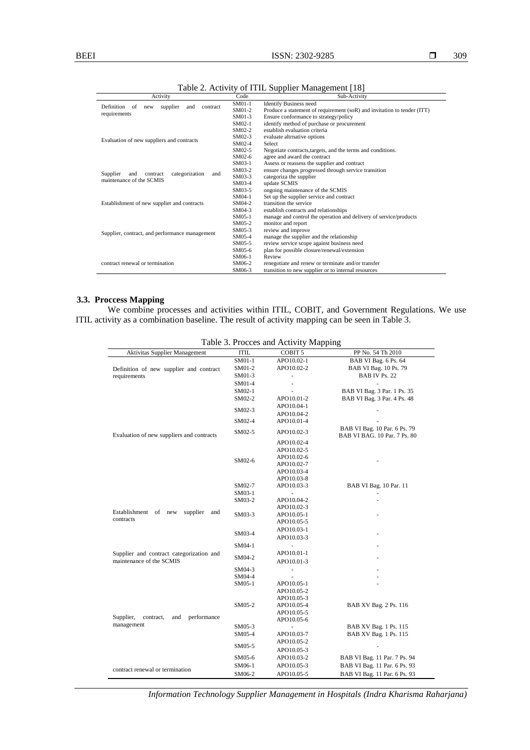| Activity                                               | Code     | Sub-Activity                                                            |  |
|--------------------------------------------------------|----------|-------------------------------------------------------------------------|--|
| Definition<br>supplier<br>of<br>contract<br>new<br>and | SM01-1   | <b>Identify Business need</b>                                           |  |
| requirements                                           | SM01-2   | Produce a statement of requirement (soR) and invitation to tender (ITT) |  |
|                                                        | SM01-3   | Ensure conformance to strategy/policy                                   |  |
|                                                        | $SMO2-1$ | identify method of purchase or procurement                              |  |
|                                                        | SM02-2   | establish evaluation criteria                                           |  |
|                                                        | SM02-3   | evaluate altrnative options                                             |  |
| Evaluation of new suppliers and contracts              | SM02-4   | <b>Select</b>                                                           |  |
|                                                        | $SMO2-5$ | Negotiate contracts, targets, and the terms and conditions.             |  |
|                                                        | SM02-6   | agree and award the contract                                            |  |
|                                                        | SM03-1   | Assess or reassess the supplier and contract                            |  |
| Supplier<br>and<br>contract<br>and                     | SM03-2   | ensure changes progressed through service transition                    |  |
| categorization<br>maintenance of the SCMIS             | SM03-3   | categoriza the supplier                                                 |  |
|                                                        | SM03-4   | update SCMIS                                                            |  |
|                                                        | SM03-5   | ongoing maintenance of the SCMIS                                        |  |
|                                                        | SM04-1   | Set up the supplier service and contract                                |  |
| Establishment of new supplier and contracts            | SM04-2   | transition the service                                                  |  |
|                                                        | SM04-3   | establish contracts and relationships                                   |  |
|                                                        | SM05-1   | manage and control the operation and delivery of service/products       |  |
|                                                        | SM05-2   | monitor and report                                                      |  |
| Supplier, contract, and performance management         | $SM05-3$ | review and improve                                                      |  |
|                                                        | SM05-4   | manage the supplier and the relationship                                |  |
|                                                        | SM05-5   | review service scope against business need                              |  |
|                                                        | SM05-6   | plan for possible closure/renewal/extension                             |  |
|                                                        | SM06-1   | Review                                                                  |  |
| contract renewal or termination                        | SM06-2   | renegotiate and renew or terminate and/or transfer                      |  |
|                                                        | SM06-3   | transition to new supplier or to internal resources                     |  |

Table 2. Activity of ITIL Supplier Management [18]

#### **3.3. Proccess Mapping**

We combine processes and activities within ITIL, COBIT, and Government Regulations. We use ITIL activity as a combination baseline. The result of activity mapping can be seen in Table 3.

| Table 3. Procces and Activity Mapping        |             |                              |                                                              |  |  |
|----------------------------------------------|-------------|------------------------------|--------------------------------------------------------------|--|--|
| Aktivitas Supplier Management                | <b>ITIL</b> | COBIT <sub>5</sub>           | PP No. 54 Th 2010                                            |  |  |
|                                              | SM01-1      | APO10.02-1                   | BAB VI Bag. 6 Ps. 64                                         |  |  |
| Definition of new supplier and contract      | SM01-2      | APO10.02-2                   | BAB VI Bag. 10 Ps. 79                                        |  |  |
| requirements                                 | SM01-3      |                              | BAB IV Ps. 22                                                |  |  |
|                                              | SM01-4      |                              |                                                              |  |  |
|                                              | SM02-1      |                              | BAB VI Bag. 3 Par. 1 Ps. 35                                  |  |  |
|                                              | SM02-2      | APO10.01-2                   | BAB VI Bag. 3 Par. 4 Ps. 48                                  |  |  |
|                                              | SM02-3      | APO10.04-1                   |                                                              |  |  |
|                                              |             | APO10.04-2                   |                                                              |  |  |
|                                              | SM02-4      | APO10.01-4                   |                                                              |  |  |
| Evaluation of new suppliers and contracts    | SM02-5      | APO10.02-3                   | BAB VI Bag. 10 Par. 6 Ps. 79<br>BAB VI BAG, 10 Par, 7 Ps, 80 |  |  |
|                                              |             | APO10.02-4                   |                                                              |  |  |
|                                              |             | APO10.02-5                   |                                                              |  |  |
|                                              | SM02-6      | APO10.02-6                   |                                                              |  |  |
|                                              |             | APO10.02-7                   |                                                              |  |  |
|                                              |             | APO10.03-4                   |                                                              |  |  |
|                                              |             | APO10.03-8                   |                                                              |  |  |
|                                              | SM02-7      | APO10.03-3                   | BAB VI Bag. 10 Par. 11                                       |  |  |
|                                              | SM03-1      |                              |                                                              |  |  |
|                                              | SM03-2      | APO10.04-2                   |                                                              |  |  |
| Establishment of new<br>supplier<br>and      | SM03-3      | APO10.02-3<br>APO10.05-1     |                                                              |  |  |
| contracts                                    |             | APO10.05-5                   |                                                              |  |  |
|                                              | SM03-4      | APO10.03-1                   |                                                              |  |  |
|                                              |             |                              |                                                              |  |  |
|                                              |             | APO10.03-3                   |                                                              |  |  |
|                                              | SM04-1      |                              |                                                              |  |  |
| Supplier and contract categorization and     | SM04-2      | APO10.01-1                   |                                                              |  |  |
| maintenance of the SCMIS                     |             | APO10.01-3                   |                                                              |  |  |
|                                              | $SM04-3$    | $\qquad \qquad \blacksquare$ |                                                              |  |  |
|                                              | SM04-4      |                              |                                                              |  |  |
|                                              | $SM05-1$    | APO10.05-1                   |                                                              |  |  |
|                                              |             | APO10.05-2                   |                                                              |  |  |
|                                              | SM05-2      | APO10.05-3<br>APO10.05-4     | BAB XV Bag. 2 Ps. 116                                        |  |  |
|                                              |             | APO10.05-5                   |                                                              |  |  |
| Supplier,<br>contract,<br>performance<br>and |             | APO10.05-6                   |                                                              |  |  |
| management                                   | SM05-3      |                              | BAB XV Bag. 1 Ps. 115                                        |  |  |
|                                              | SM05-4      | APO10.03-7                   | BAB XV Bag. 1 Ps. 115                                        |  |  |
|                                              | SM05-5      | APO10.05-2                   |                                                              |  |  |
|                                              |             | APO10.05-3                   |                                                              |  |  |
|                                              | SM05-6      | APO10.03-2                   | BAB VI Bag. 11 Par. 7 Ps. 94                                 |  |  |
|                                              | SM06-1      | APO10.05-3                   | BAB VI Bag. 11 Par. 6 Ps. 93                                 |  |  |
| contract renewal or termination              | SM06-2      | APO10.05-5                   | BAB VI Bag. 11 Par. 6 Ps. 93                                 |  |  |
|                                              |             |                              |                                                              |  |  |

*Information Technology Supplier Management in Hospitals (Indra Kharisma Raharjana)*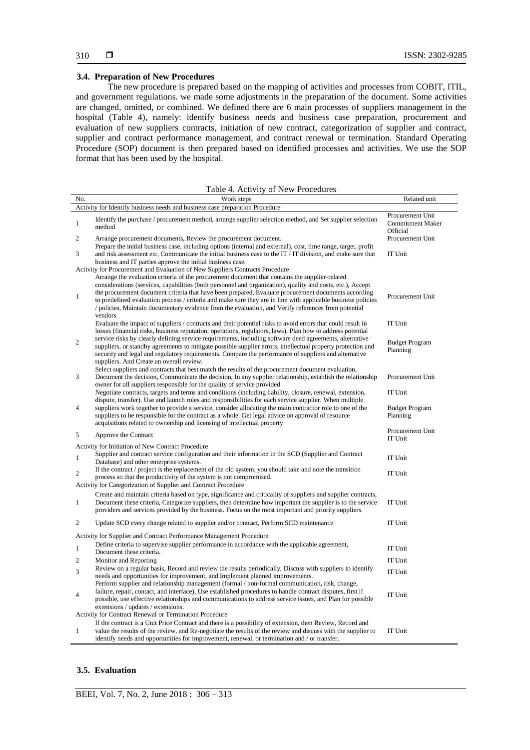## **3.4. Preparation of New Procedures**

The new procedure is prepared based on the mapping of activities and processes from COBIT, ITIL, and government regulations. we made some adjustments in the preparation of the document. Some activities are changed, omitted, or combined. We defined there are 6 main processes of suppliers management in the hospital (Table 4), namely: identify business needs and business case preparation, procurement and evaluation of new suppliers contracts, initiation of new contract, categorization of supplier and contract, supplier and contract performance management, and contract renewal or termination. Standard Operating Procedure (SOP) document is then prepared based on identified processes and activities. We use the SOP format that has been used by the hospital.

Table 4. Activity of New Procedures

| No.          | Work steps                                                                                                                                                                                                                                                                                                                                                                                                                                                                                                                                                                                                                            | Related unit                                            |  |  |  |  |
|--------------|---------------------------------------------------------------------------------------------------------------------------------------------------------------------------------------------------------------------------------------------------------------------------------------------------------------------------------------------------------------------------------------------------------------------------------------------------------------------------------------------------------------------------------------------------------------------------------------------------------------------------------------|---------------------------------------------------------|--|--|--|--|
|              | Activity for Identify business needs and business case preparation Procedure                                                                                                                                                                                                                                                                                                                                                                                                                                                                                                                                                          |                                                         |  |  |  |  |
| $\mathbf{1}$ | Identify the purchase / procurement method, arrange supplier selection method, and Set supplier selection<br>method                                                                                                                                                                                                                                                                                                                                                                                                                                                                                                                   | Procurement Unit<br><b>Commitment Maker</b><br>Official |  |  |  |  |
| 2            | Arrange procurement documents, Review the procurement document.                                                                                                                                                                                                                                                                                                                                                                                                                                                                                                                                                                       | Procurement Unit                                        |  |  |  |  |
| 3            | Prepare the initial business case, including options (internal and external), cost, time range, target, profit<br>and risk assessment etc, Communicate the initial business case to the IT / IT division, and make sure that<br>business and IT parties approve the initial business case.                                                                                                                                                                                                                                                                                                                                            | IT Unit                                                 |  |  |  |  |
| $\mathbf{1}$ | Activity for Procurement and Evaluation of New Suppliers Contracts Procedure<br>Arrange the evaluation criteria of the procurement document that contains the supplier-related<br>considerations (services, capabilities (both personnel and organization), quality and costs, etc.), Accept<br>the procurement document criteria that have been prepared, Evaluate procurement documents according<br>to predefined evaluation process / criteria and make sure they are in line with applicable business policies<br>/ policies, Maintain documentary evidence from the evaluation, and Verify references from potential<br>vendors | Procurement Unit                                        |  |  |  |  |
|              | Evaluate the impact of suppliers / contracts and their potential risks to avoid errors that could result in<br>losses (financial risks, business reputation, operations, regulators, laws), Plan how to address potential                                                                                                                                                                                                                                                                                                                                                                                                             | IT Unit                                                 |  |  |  |  |
| 2            | service risks by clearly defining service requirements, including software deed agreements, alternative<br>suppliers, or standby agreements to mitigate possible supplier errors, intellectual property protection and<br>security and legal and regulatory requirements. Compare the performance of suppliers and alternative<br>suppliers. And Create an overall review.                                                                                                                                                                                                                                                            | <b>Budget Program</b><br>Planning                       |  |  |  |  |
| 3            | Select suppliers and contracts that best match the results of the procurement document evaluation,<br>Document the decision, Communicate the decision, In any supplier relationship, establish the relationship<br>owner for all suppliers responsible for the quality of service provided                                                                                                                                                                                                                                                                                                                                            | Procurement Unit                                        |  |  |  |  |
|              | Negotiate contracts, targets and terms and conditions (including liability, closure, renewal, extension,<br>dispute, transfer). Use and launch roles and responsibilities for each service supplier. When multiple                                                                                                                                                                                                                                                                                                                                                                                                                    | IT Unit                                                 |  |  |  |  |
| 4            | suppliers work together to provide a service, consider allocating the main contractor role to one of the<br>suppliers to be responsible for the contract as a whole. Get legal advice on approval of resource<br>acquisitions related to ownership and licensing of intellectual property                                                                                                                                                                                                                                                                                                                                             | <b>Budget Program</b><br>Planning                       |  |  |  |  |
| 5            | Approve the Contract                                                                                                                                                                                                                                                                                                                                                                                                                                                                                                                                                                                                                  | Procurement Unit<br>IT Unit                             |  |  |  |  |
| $\mathbf{1}$ | Activity for Initiation of New Contract Procedure<br>Supplier and contract service configuration and their information in the SCD (Supplier and Contract<br>Database) and other enterprise systems.                                                                                                                                                                                                                                                                                                                                                                                                                                   | IT Unit                                                 |  |  |  |  |
| 2            | If the contract / project is the replacement of the old system, you should take and note the transition<br>process so that the productivity of the system is not compromised.<br>Activity for Categorization of Supplier and Contract Procedure                                                                                                                                                                                                                                                                                                                                                                                       | IT Unit                                                 |  |  |  |  |
| $\mathbf{1}$ | Create and maintain criteria based on type, significance and criticality of suppliers and supplier contracts,<br>Document these criteria, Categorize suppliers, then determine how important the supplier is to the service<br>providers and services provided by the business. Focus on the most important and priority suppliers.                                                                                                                                                                                                                                                                                                   | IT Unit                                                 |  |  |  |  |
| 2            | Update SCD every change related to supplier and/or contract, Perform SCD maintenance                                                                                                                                                                                                                                                                                                                                                                                                                                                                                                                                                  | IT Unit                                                 |  |  |  |  |
|              | Activity for Supplier and Contract Performance Management Procedure                                                                                                                                                                                                                                                                                                                                                                                                                                                                                                                                                                   |                                                         |  |  |  |  |
| $\mathbf{1}$ | Define criteria to supervise supplier performance in accordance with the applicable agreement,<br>Document these criteria.                                                                                                                                                                                                                                                                                                                                                                                                                                                                                                            | IT Unit                                                 |  |  |  |  |
| 2            | Monitor and Reporting                                                                                                                                                                                                                                                                                                                                                                                                                                                                                                                                                                                                                 | IT Unit                                                 |  |  |  |  |
| 3            | Review on a regular basis, Record and review the results periodically, Discuss with suppliers to identify<br>needs and opportunities for improvement, and Implement planned improvements.                                                                                                                                                                                                                                                                                                                                                                                                                                             | IT Unit                                                 |  |  |  |  |
| 4            | Perform supplier and relationship management (formal / non-formal communication, risk, change,<br>failure, repair, contact, and interface), Use established procedures to handle contract disputes, first if<br>possible, use effective relationships and communications to address service issues, and Plan for possible<br>extensions / updates / extensions.                                                                                                                                                                                                                                                                       | IT Unit                                                 |  |  |  |  |
|              | Activity for Contract Renewal or Termination Procedure                                                                                                                                                                                                                                                                                                                                                                                                                                                                                                                                                                                |                                                         |  |  |  |  |
| $\mathbf{1}$ | If the contract is a Unit Price Contract and there is a possibility of extension, then Review, Record and<br>value the results of the review, and Re-negotiate the results of the review and discuss with the supplier to<br>identify needs and opportunities for improvement, renewal, or termination and / or transfer.                                                                                                                                                                                                                                                                                                             | IT Unit                                                 |  |  |  |  |

## **3.5. Evaluation**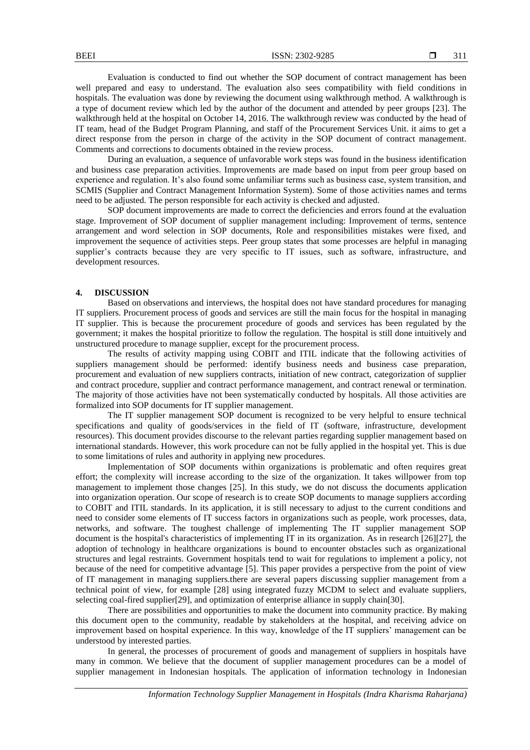Evaluation is conducted to find out whether the SOP document of contract management has been well prepared and easy to understand. The evaluation also sees compatibility with field conditions in hospitals. The evaluation was done by reviewing the document using walkthrough method. A walkthrough is a type of document review which led by the author of the document and attended by peer groups [23]. The walkthrough held at the hospital on October 14, 2016. The walkthrough review was conducted by the head of IT team, head of the Budget Program Planning, and staff of the Procurement Services Unit. it aims to get a direct response from the person in charge of the activity in the SOP document of contract management. Comments and corrections to documents obtained in the review process.

During an evaluation, a sequence of unfavorable work steps was found in the business identification and business case preparation activities. Improvements are made based on input from peer group based on experience and regulation. It's also found some unfamiliar terms such as business case, system transition, and SCMIS (Supplier and Contract Management Information System). Some of those activities names and terms need to be adjusted. The person responsible for each activity is checked and adjusted.

SOP document improvements are made to correct the deficiencies and errors found at the evaluation stage. Improvement of SOP document of supplier management including: Improvement of terms, sentence arrangement and word selection in SOP documents, Role and responsibilities mistakes were fixed, and improvement the sequence of activities steps. Peer group states that some processes are helpful in managing supplier's contracts because they are very specific to IT issues, such as software, infrastructure, and development resources.

## **4. DISCUSSION**

Based on observations and interviews, the hospital does not have standard procedures for managing IT suppliers. Procurement process of goods and services are still the main focus for the hospital in managing IT supplier. This is because the procurement procedure of goods and services has been regulated by the government; it makes the hospital prioritize to follow the regulation. The hospital is still done intuitively and unstructured procedure to manage supplier, except for the procurement process.

The results of activity mapping using COBIT and ITIL indicate that the following activities of suppliers management should be performed: identify business needs and business case preparation, procurement and evaluation of new suppliers contracts, initiation of new contract, categorization of supplier and contract procedure, supplier and contract performance management, and contract renewal or termination. The majority of those activities have not been systematically conducted by hospitals. All those activities are formalized into SOP documents for IT supplier management.

The IT supplier management SOP document is recognized to be very helpful to ensure technical specifications and quality of goods/services in the field of IT (software, infrastructure, development resources). This document provides discourse to the relevant parties regarding supplier management based on international standards. However, this work procedure can not be fully applied in the hospital yet. This is due to some limitations of rules and authority in applying new procedures.

Implementation of SOP documents within organizations is problematic and often requires great effort; the complexity will increase according to the size of the organization. It takes willpower from top management to implement those changes [25]. In this study, we do not discuss the documents application into organization operation. Our scope of research is to create SOP documents to manage suppliers according to COBIT and ITIL standards. In its application, it is still necessary to adjust to the current conditions and need to consider some elements of IT success factors in organizations such as people, work processes, data, networks, and software. The toughest challenge of implementing The IT supplier management SOP document is the hospital's characteristics of implementing IT in its organization. As in research [26][27], the adoption of technology in healthcare organizations is bound to encounter obstacles such as organizational structures and legal restraints. Government hospitals tend to wait for regulations to implement a policy, not because of the need for competitive advantage [5]. This paper provides a perspective from the point of view of IT management in managing suppliers.there are several papers discussing supplier management from a technical point of view, for example [28] using integrated fuzzy MCDM to select and evaluate suppliers, selecting coal-fired supplier[29], and optimization of enterprise alliance in supply chain[30].

There are possibilities and opportunities to make the document into community practice. By making this document open to the community, readable by stakeholders at the hospital, and receiving advice on improvement based on hospital experience. In this way, knowledge of the IT suppliers' management can be understood by interested parties.

In general, the processes of procurement of goods and management of suppliers in hospitals have many in common. We believe that the document of supplier management procedures can be a model of supplier management in Indonesian hospitals. The application of information technology in Indonesian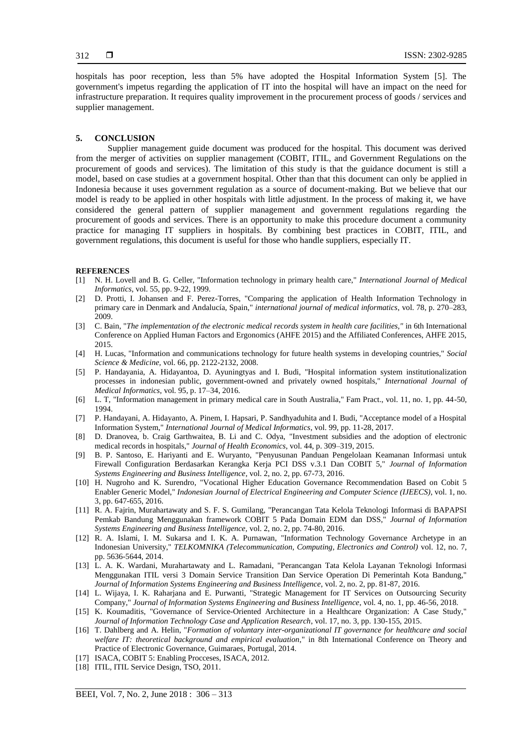hospitals has poor reception, less than 5% have adopted the Hospital Information System [5]. The government's impetus regarding the application of IT into the hospital will have an impact on the need for infrastructure preparation. It requires quality improvement in the procurement process of goods / services and supplier management.

#### **5. CONCLUSION**

Supplier management guide document was produced for the hospital. This document was derived from the merger of activities on supplier management (COBIT, ITIL, and Government Regulations on the procurement of goods and services). The limitation of this study is that the guidance document is still a model, based on case studies at a government hospital. Other than that this document can only be applied in Indonesia because it uses government regulation as a source of document-making. But we believe that our model is ready to be applied in other hospitals with little adjustment. In the process of making it, we have considered the general pattern of supplier management and government regulations regarding the procurement of goods and services. There is an opportunity to make this procedure document a community practice for managing IT suppliers in hospitals. By combining best practices in COBIT, ITIL, and government regulations, this document is useful for those who handle suppliers, especially IT.

#### **REFERENCES**

- [1] N. H. Lovell and B. G. Celler, "Information technology in primary health care," *International Journal of Medical Informatics*, vol. 55, pp. 9-22, 1999.
- [2] D. Protti, I. Johansen and F. Perez-Torres, "Comparing the application of Health Information Technology in primary care in Denmark and Andalucía, Spain," *international journal of medical informatics*, vol. 78, p. 270–283, 2009.
- [3] C. Bain, "*The implementation of the electronic medical records system in health care facilities,"* in 6th International Conference on Applied Human Factors and Ergonomics (AHFE 2015) and the Affiliated Conferences, AHFE 2015, 2015.
- [4] H. Lucas, "Information and communications technology for future health systems in developing countries," *Social Science & Medicine,* vol. 66, pp. 2122-2132, 2008.
- [5] P. Handayania, A. Hidayantoa, D. Ayuningtyas and I. Budi, "Hospital information system institutionalization processes in indonesian public, government-owned and privately owned hospitals," *International Journal of Medical Informatics,* vol. 95, p. 17–34, 2016.
- [6] L. T, "Information management in primary medical care in South Australia," Fam Pract., vol. 11, no. 1, pp. 44-50, 1994.
- [7] P. Handayani, A. Hidayanto, A. Pinem, I. Hapsari, P. Sandhyaduhita and I. Budi, "Acceptance model of a Hospital Information System," *International Journal of Medical Informatics*, vol. 99, pp. 11-28, 2017.
- [8] D. Dranovea, b. Craig Garthwaitea, B. Li and C. Odya, "Investment subsidies and the adoption of electronic medical records in hospitals," *Journal of Health Economics*, vol. 44, p. 309–319, 2015.
- [9] B. P. Santoso, E. Hariyanti and E. Wuryanto, "Penyusunan Panduan Pengelolaan Keamanan Informasi untuk Firewall Configuration Berdasarkan Kerangka Kerja PCI DSS v.3.1 Dan COBIT 5," *Journal of Information Systems Engineering and Business Intelligence*, vol. 2, no. 2, pp. 67-73, 2016.
- [10] H. Nugroho and K. Surendro, "Vocational Higher Education Governance Recommendation Based on Cobit 5 Enabler Generic Model," *Indonesian Journal of Electrical Engineering and Computer Science (IJEECS)*, vol. 1, no. 3, pp. 647-655, 2016.
- [11] R. A. Fajrin, Murahartawaty and S. F. S. Gumilang, "Perancangan Tata Kelola Teknologi Informasi di BAPAPSI Pemkab Bandung Menggunakan framework COBIT 5 Pada Domain EDM dan DSS," *Journal of Information Systems Engineering and Business Intelligence,* vol. 2, no. 2, pp. 74-80, 2016.
- [12] R. A. Islami, I. M. Sukarsa and I. K. A. Purnawan, "Information Technology Governance Archetype in an Indonesian University," *TELKOMNIKA (Telecommunication, Computing, Electronics and Control)* vol. 12, no. 7, pp. 5636-5644, 2014.
- [13] L. A. K. Wardani, Murahartawaty and L. Ramadani, "Perancangan Tata Kelola Layanan Teknologi Informasi Menggunakan ITIL versi 3 Domain Service Transition Dan Service Operation Di Pemerintah Kota Bandung," *Journal of Information Systems Engineering and Business Intelligence*, vol. 2, no. 2, pp. 81-87, 2016.
- [14] L. Wijaya, I. K. Raharjana and E. Purwanti, "Strategic Management for IT Services on Outsourcing Security Company," *Journal of Information Systems Engineering and Business Intelligence*, vol. 4, no. 1, pp. 46-56, 2018.
- [15] K. Koumaditis, "Governance of Service-Oriented Architecture in a Healthcare Organization: A Case Study," *Journal of Information Technology Case and Application Research*, vol. 17, no. 3, pp. 130-155, 2015.
- [16] T. Dahlberg and A. Helin, "*Formation of voluntary inter-organizational IT governance for healthcare and social welfare IT: theoretical background and empirical evaluation*," in 8th International Conference on Theory and Practice of Electronic Governance, Guimaraes, Portugal, 2014.
- [17] ISACA, COBIT 5: Enabling Procceses, ISACA, 2012.
- [18] ITIL, ITIL Service Design, TSO, 2011.